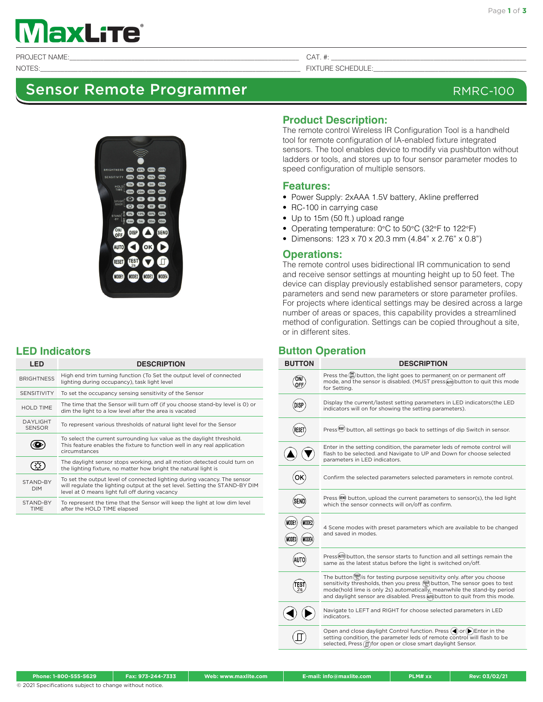# axLite®

PROJECT NAME:\_\_\_\_\_\_\_\_\_\_\_\_\_\_\_\_\_\_\_\_\_\_\_\_\_\_\_\_\_\_\_\_\_\_\_\_\_\_\_\_\_\_\_\_\_\_\_\_\_\_\_\_\_\_\_\_\_\_\_\_\_\_\_\_\_\_\_ CAT. #: \_\_\_\_\_\_\_\_\_\_\_\_\_\_\_\_\_\_\_\_\_\_\_\_\_\_\_\_\_\_\_\_\_\_\_\_\_\_\_\_\_\_\_\_\_\_\_\_\_\_\_\_\_\_\_\_\_

## Sensor Remote Programmer RMRC-100



NOTES:<br>NOTES:



### **LED Indicators**

|  | <b>LED</b>                        | <b>DESCRIPTION</b>                                                                                                                                                                                         |  |  |  |  |
|--|-----------------------------------|------------------------------------------------------------------------------------------------------------------------------------------------------------------------------------------------------------|--|--|--|--|
|  | <b>BRIGHTNESS</b>                 | High end trim turning function (To Set the output level of connected<br>lighting during occupancy), task light level                                                                                       |  |  |  |  |
|  | <b>SENSITIVITY</b>                | To set the occupancy sensing sensitivity of the Sensor                                                                                                                                                     |  |  |  |  |
|  | HOI D TIME                        | The time that the Sensor will turn off (if you choose stand-by level is 0) or<br>dim the light to a low level after the area is vacated                                                                    |  |  |  |  |
|  | <b>DAYI IGHT</b><br><b>SENSOR</b> | To represent various thresholds of natural light level for the Sensor                                                                                                                                      |  |  |  |  |
|  |                                   | To select the current surrounding lux value as the daylight threshold.<br>This feature enables the fixture to function well in any real application<br>circumstances                                       |  |  |  |  |
|  |                                   | The daylight sensor stops working, and all motion detected could turn on<br>the lighting fixture, no matter how bright the natural light is                                                                |  |  |  |  |
|  | STAND-BY<br><b>DIM</b>            | To set the output level of connected lighting during vacancy. The sensor<br>will regulate the lighting output at the set level. Setting the STAND-BY DIM<br>level at 0 means light full off during vacancy |  |  |  |  |
|  | STAND-BY<br><b>TIME</b>           | To represent the time that the Sensor will keep the light at low dim level<br>after the HOLD TIME elapsed                                                                                                  |  |  |  |  |

#### **Product Description:**

The remote control Wireless IR Configuration Tool is a handheld tool for remote configuration of IA-enabled fixture integrated sensors. The tool enables device to modify via pushbutton without ladders or tools, and stores up to four sensor parameter modes to speed configuration of multiple sensors.

#### **Features:**

- Power Supply: 2xAAA 1.5V battery, Akline prefferred
- RC-100 in carrying case
- Up to 15m (50 ft.) upload range
- Operating temperature: 0°C to 50°C (32°F to 122°F)
- Dimensons: 123 x 70 x 20.3 mm (4.84" x 2.76" x 0.8")

#### **Operations:**

The remote control uses bidirectional IR communication to send and receive sensor settings at mounting height up to 50 feet. The device can display previously established sensor parameters, copy parameters and send new parameters or store parameter profiles. For projects where identical settings may be desired across a large number of areas or spaces, this capability provides a streamlined method of configuration. Settings can be copied throughout a site, or in different sites.

#### **Button Operation**

| <b>BUTTON</b>                 | <b>DESCRIPTION</b>                                                                                                                                                                                                                                                                                                                           |  |  |  |  |
|-------------------------------|----------------------------------------------------------------------------------------------------------------------------------------------------------------------------------------------------------------------------------------------------------------------------------------------------------------------------------------------|--|--|--|--|
|                               | Press the <b>OFF</b> button, the light goes to permanent on or permanent off<br>mode, and the sensor is disabled. (MUST press wm) button to quit this mode<br>for Setting.                                                                                                                                                                   |  |  |  |  |
| JISI                          | Display the current/lastest setting parameters in LED indicators (the LED<br>indicators will on for showing the setting parameters).                                                                                                                                                                                                         |  |  |  |  |
|                               | Press <sup>(633)</sup> button, all settings go back to settings of dip Switch in sensor.                                                                                                                                                                                                                                                     |  |  |  |  |
|                               | Enter in the setting condition, the parameter leds of remote control will<br>flash to be selected, and Navigate to UP and Down for choose selected<br>parameters in LED indicators.                                                                                                                                                          |  |  |  |  |
|                               | Confirm the selected parameters selected parameters in remote control.                                                                                                                                                                                                                                                                       |  |  |  |  |
|                               | Press (EN) button, upload the current parameters to sensor(s), the led light<br>which the sensor connects will on/off as confirm.                                                                                                                                                                                                            |  |  |  |  |
| MODI<br><b>MODE4</b><br>MODE3 | 4 Scene modes with preset parameters which are available to be changed<br>and saved in modes.                                                                                                                                                                                                                                                |  |  |  |  |
|                               | Press (WTO) button, the sensor starts to function and all settings remain the<br>same as the latest status before the light is switched on/off.                                                                                                                                                                                              |  |  |  |  |
|                               | The button $(\frac{res}{2})$ is for testing purpose sensitivity only. after you choose<br>sensitivity thresholds, then you press $(\frac{[163]}{2})$ button, The sensor goes to test<br>mode(hold lime is only 2s) automatically, meanwhile the stand-by period<br>and daylight sensor are disabled. Press wm button to quit from this mode. |  |  |  |  |
|                               | Navigate to LEFT and RIGHT for choose selected parameters in LED<br>indicators.                                                                                                                                                                                                                                                              |  |  |  |  |
|                               | Open and close daylight Control function. Press $\blacktriangleleft$ or $\blacktriangleright$ Enter in the<br>setting condition, the parameter leds of remote control will flash to be<br>selected, Press (∏) for open or close smart daylight Sensor.                                                                                       |  |  |  |  |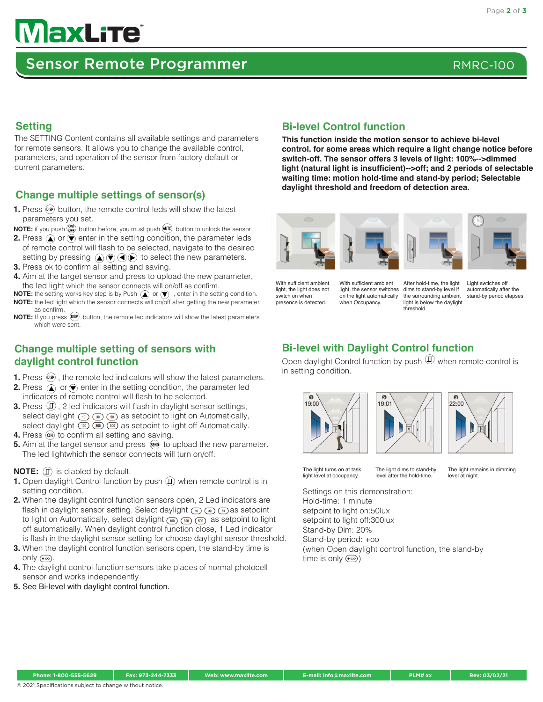# **MaxLite®**

## Sensor Remote Programmer RMRC-100

#### **Setting**

The SETTING Content contains all available settings and parameters for remote sensors. It allows you to change the available control, parameters, and operation of the sensor from factory default or current parameters.

### **Change multiple settings of sensor(s)**

- **1.** Press  $(x)$  button, the remote control leds will show the latest parameters you set.
- **NOTE:** if you push  $\binom{6W}{6F}$  button before, you must push  $\binom{6W}{6W}$  button to unlock the sensor.
- **2.** Press  $\left(\triangle\right)$  or  $\left(\nabla\right)$  enter in the setting condition, the parameter leds of remote control will flash to be selected, navigate to the desired setting by pressing  $\mathbf{A}(\mathbf{r})\mathbf{A}(\mathbf{r})$  to select the new parameters.
- **3.** Press ok to confirm all setting and saving.
- **4.** Aim at the target sensor and press to upload the new parameter, the led light which the sensor connects will on/off as confirm.
- **NOTE:** the setting works key step is by Push  $\Omega$  or  $\nabla$ , enter in the setting condition. **NOTE:** the led light which the sensor connects will on/off after getting the new parameter as confirm.
- **NOTE:** If you press  $\overline{O}$  button, the remote led indicators will show the latest parameters which were sent.

### **Change multiple setting of sensors with daylight control function**

- **1.** Press  $(\text{MS})$ , the remote led indicators will show the latest parameters.
- **2.** Press  $\textcircled{1}$  or  $\textcircled{1}$  enter in the setting condition, the parameter led indicators of remote control will flash to be selected.
- **3.** Press  $(\mathbb{I})$ , 2 led indicators will flash in daylight sensor settings, select daylight  $\binom{1}{1}$   $\binom{3}{1}$   $\binom{5}{1}$  as setpoint to light on Automatically, select daylight  $\omega$   $\omega$   $\omega$   $\omega$  as setpoint to light off Automatically.
- **4.** Press  $\overline{ox}$  to confirm all setting and saving.
- **5.** Aim at the target sensor and press  $\bullet\bullet\bullet$  to upload the new parameter. The led lightwhich the sensor connects will turn on/off.

#### **NOTE:**  $\Box$  is diabled by default.

- **1.** Open daylight Control function by push  $(\widehat{\mathbb{I}})$  when remote control is in setting condition.
- **2.** When the daylight control function sensors open, 2 Led indicators are flash in daylight sensor setting. Select daylight  $\binom{m}{k}$  as setpoint to light on Automatically, select daylight  $(m)$   $(m)$   $(m)$  as setpoint to light off automatically. When daylight control function close, 1 Led indicator is flash in the daylight sensor setting for choose daylight sensor threshold.
- **3.** When the daylight control function sensors open, the stand-by time is only  $(-\infty)$ .
- **4.** The daylight control function sensors take places of normal photocell sensor and works independently
- **5.** See Bi-level with daylight control function.

#### **Bi-level Control function**

**This function inside the motion sensor to achieve bi-level control. for some areas which require a light change notice before switch-off. The sensor offers 3 levels of light: 100%-->dimmed light (natural light is insufficient)-->off; and 2 periods of selectable waiting time: motion hold-time and stand-by period; Selectable daylight threshold and freedom of detection area.**



With sufficient ambient light, the light does not switch on when presence is detected.

With sufficient ambient light, the sensor switches on the light automatically when Occupancy.

After hold-time, the light dims to stand-by level if the surrounding ambient light is below the daylight threshold.



Light swtiches of automatically after the stand-by period elapses.

### **Bi-level with Daylight Control function**

Open daylight Control function by push  $\mathbb D$  when remote control is in setting condition.







The light turns on at task light level at occupancy.

The light dims to stand-by level after the hold-time.

The light remains in dimming level at night.

Settings on this demonstration: Hold-time: 1 minute setpoint to light on:50lux setpoint to light off:300lux Stand-by Dim: 20% Stand-by period: +oo (when Open daylight control function, the sland-by time is only  $(\overline{\bullet})$